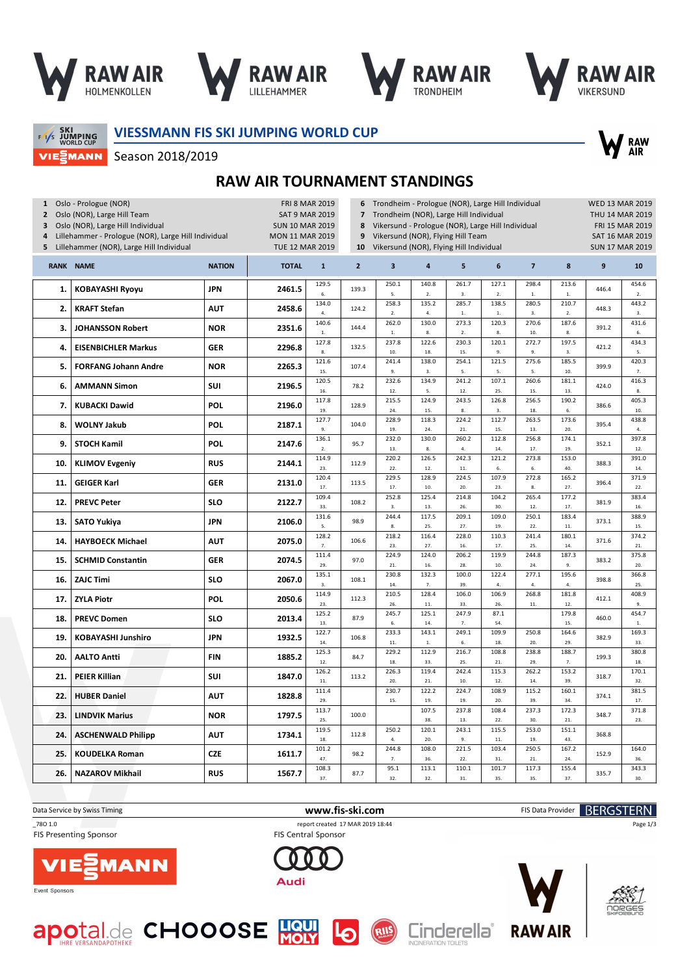

Season 2018/2019







SKI<br>JUMPING<br>WORLD CUP VIEZMANN **VIESSMANN FIS SKI JUMPING WORLD CUP**



**RAW AIR TOURNAMENT STANDINGS**

| $\overline{\mathbf{z}}$<br><b>TOTAL</b><br>$\mathbf{2}$<br>3<br>5<br>6<br>$\bf8$<br>$\boldsymbol{9}$<br><b>RANK</b><br><b>NAME</b><br><b>NATION</b><br>$\mathbf{1}$<br>4<br>129.5<br>250.1<br>140.8<br>261.7<br>127.1<br>298.4<br>213.6<br><b>JPN</b><br><b>KOBAYASHI Ryoyu</b><br>2461.5<br>139.3<br>446.4<br>1.<br>5.<br>2.<br>3.<br>$\overline{2}$ .<br>$1.$<br>6.<br>$\mathbf{1}$<br>$\overline{2}$ .<br>138.5<br>134.0<br>258.3<br>135.2<br>285.7<br>280.5<br>210.7<br>2.<br><b>AUT</b><br><b>KRAFT Stefan</b><br>2458.6<br>124.2<br>448.3<br>4.<br>2.<br>3.<br>2.<br>4.<br>$1. \,$<br>$1. \,$<br>3.<br>120.3<br>270.6<br>140.6<br>262.0<br>130.0<br>273.3<br>187.6<br><b>NOR</b><br>3.<br><b>JOHANSSON Robert</b><br>2351.6<br>144.4<br>391.2<br>${\bf 1}.$<br>${\bf 1}.$<br>$\bf 8$<br>$2. \,$<br>8.<br>10.<br>8.<br>6.<br>237.8<br>122.6<br>230.3<br>120.1<br>272.7<br>197.5<br>127.8<br>2296.8<br>132.5<br>421.2<br>4.<br><b>EISENBICHLER Markus</b><br><b>GER</b><br>10.<br>18.<br>9.<br>9.<br>8.<br>15.<br>3.<br>5.<br>254.1<br>121.6<br>241.4<br>138.0<br>121.5<br>275.6<br>185.5<br>5.<br><b>NOR</b><br>2265.3<br><b>FORFANG Johann Andre</b><br>107.4<br>399.9<br>15.<br>9.<br>3.<br>5.<br>5.<br>5.<br>10.<br>$\overline{7}$ .<br>232.6<br>107.1<br>260.6<br>120.5<br>134.9<br>241.2<br>181.1<br>SUI<br>6.<br><b>AMMANN Simon</b><br>2196.5<br>78.2<br>424.0<br>5.<br>16.<br>12.<br>12.<br>25.<br>15.<br>13.<br>$\mathbf{R}$<br>117.8<br>215.5<br>124.9<br>243.5<br>126.8<br>256.5<br>190.2<br>POL<br>7.<br><b>KUBACKI Dawid</b><br>2196.0<br>128.9<br>386.6<br>19.<br>24.<br>15.<br>8.<br>3.<br>18.<br>6.<br>10.<br>127.7<br>228.9<br>118.3<br>224.2<br>112.7<br>263.5<br>173.6<br>395.4<br>8.<br><b>POL</b><br>104.0<br><b>WOLNY Jakub</b><br>2187.1<br>9.<br>19.<br>24.<br>21.<br>15.<br>13.<br>20.<br>4.<br>136.1<br>232.0<br>130.0<br>260.2<br>112.8<br>256.8<br>174.1<br>9.<br><b>STOCH Kamil</b><br><b>POL</b><br>2147.6<br>95.7<br>352.1<br>2.<br>13.<br>8.<br>4.<br>14.<br>17.<br>19.<br>12.<br>242.3<br>114.9<br>220.2<br>126.5<br>121.2<br>273.8<br>153.0<br><b>KLIMOV Evgeniy</b><br><b>RUS</b><br>2144.1<br>112.9<br>388.3<br>10.<br>23.<br>22.<br>12.<br>$11.$<br>40.<br>6.<br>6.<br>14.<br>229.5<br>128.9<br>224.5<br>107.9<br>272.8<br>165.2<br>120.4<br><b>GEIGER Karl</b><br>2131.0<br>113.5<br>396.4<br>11.<br><b>GER</b><br>17.<br>17.<br>10.<br>20.<br>23.<br>$\bf 8$<br>27.<br>22.<br>252.8<br>125.4<br>214.8<br>104.2<br>265.4<br>177.2<br>109.4<br><b>SLO</b><br>12.<br><b>PREVC Peter</b><br>2122.7<br>108.2<br>381.9<br>33.<br>13.<br>26.<br>30.<br>12.<br>17.<br>$\overline{3}$<br>16.<br>131.6<br>244.4<br>117.5<br>209.1<br>109.0<br>250.1<br>183.4<br><b>JPN</b><br>2106.0<br>13.<br><b>SATO Yukiya</b><br>98.9<br>373.1<br>25.<br>22.<br>11.<br>5.<br>8.<br>27.<br>19.<br>15.<br>218.2<br>128.2<br>116.4<br>228.0<br>110.3<br>241.4<br>180.1<br><b>HAYBOECK Michael</b><br><b>AUT</b><br>2075.0<br>106.6<br>371.6<br>14.<br>23.<br>27.<br>16.<br>17.<br>25.<br>14.<br>7.<br>21<br>111.4<br>224.9<br>124.0<br>206.2<br>119.9<br>244.8<br>187.3<br>15.<br><b>SCHMID Constantin</b><br><b>GER</b><br>2074.5<br>97.0<br>383.2<br>29.<br>21.<br>16.<br>28.<br>10.<br>24.<br>9.<br>20.<br>230.8<br>132.3<br>100.0<br>122.4<br>277.1<br>195.6<br>135.1<br><b>SLO</b><br>16.<br><b>ZAJC Timi</b><br>2067.0<br>108.1<br>398.8<br>14.<br>7.<br>3.<br>39.<br>4.<br>$\overline{4}$ .<br>4.<br>25.<br>114.9<br>210.5<br>128.4<br>106.0<br>106.9<br>268.8<br>181.8<br><b>ZYLA Piotr</b><br><b>POL</b><br>2050.6<br>112.3<br>412.1<br>17.<br>23.<br>26.<br>11.<br>12.<br>33.<br>26.<br>11.<br>9.<br>245.7<br>125.1<br>247.9<br>125.2<br>87.1<br>179.8<br><b>SLO</b><br>18.<br><b>PREVC Domen</b><br>2013.4<br>87.9<br>460.0<br>6.<br>13.<br>14.<br>7.<br>54.<br>15.<br>${\bf 1}.$<br>233.3<br>143.1<br>249.1<br>109.9<br>122.7<br>250.8<br>164.6<br><b>KOBAYASHI Junshiro</b><br><b>JPN</b><br>19.<br>1932.5<br>106.8<br>382.9<br>20.<br>29.<br>14.<br>11.<br>${\bf 1}.$<br>6.<br>18.<br>33.<br>125.3<br>229.2<br>112.9<br>216.7<br>108.8<br>238.8<br>188.7<br><b>AALTO Antti</b><br><b>FIN</b><br>1885.2<br>84.7<br>20.<br>199.3<br>12.<br>18.<br>33.<br>25.<br>21.<br>29.<br>7.<br>18. | 1 Oslo - Prologue (NOR)<br>Oslo (NOR), Large Hill Team<br>$\mathbf{2}$<br>Oslo (NOR), Large Hill Individual<br><b>SUN 10 MAR 2019</b><br>3<br>4<br>Lillehammer - Prologue (NOR), Large Hill Individual<br><b>MON 11 MAR 2019</b><br>Lillehammer (NOR), Large Hill Individual<br>TUE 12 MAR 2019<br>5 |  |  |  |       | <b>FRI 8 MAR 2019</b><br>Trondheim - Prologue (NOR), Large Hill Individual<br>6<br>Trondheim (NOR), Large Hill Individual<br><b>SAT 9 MAR 2019</b><br>$\overline{7}$<br>Vikersund - Prologue (NOR), Large Hill Individual<br>8<br>Vikersund (NOR), Flying Hill Team<br>9<br>Vikersund (NOR), Flying Hill Individual<br>10 |       |       |       |       |       |       |  |       |
|------------------------------------------------------------------------------------------------------------------------------------------------------------------------------------------------------------------------------------------------------------------------------------------------------------------------------------------------------------------------------------------------------------------------------------------------------------------------------------------------------------------------------------------------------------------------------------------------------------------------------------------------------------------------------------------------------------------------------------------------------------------------------------------------------------------------------------------------------------------------------------------------------------------------------------------------------------------------------------------------------------------------------------------------------------------------------------------------------------------------------------------------------------------------------------------------------------------------------------------------------------------------------------------------------------------------------------------------------------------------------------------------------------------------------------------------------------------------------------------------------------------------------------------------------------------------------------------------------------------------------------------------------------------------------------------------------------------------------------------------------------------------------------------------------------------------------------------------------------------------------------------------------------------------------------------------------------------------------------------------------------------------------------------------------------------------------------------------------------------------------------------------------------------------------------------------------------------------------------------------------------------------------------------------------------------------------------------------------------------------------------------------------------------------------------------------------------------------------------------------------------------------------------------------------------------------------------------------------------------------------------------------------------------------------------------------------------------------------------------------------------------------------------------------------------------------------------------------------------------------------------------------------------------------------------------------------------------------------------------------------------------------------------------------------------------------------------------------------------------------------------------------------------------------------------------------------------------------------------------------------------------------------------------------------------------------------------------------------------------------------------------------------------------------------------------------------------------------------------------------------------------------------------------------------------------------------------------------------------------------------------------------------------------------------------------------------------------------------------------------------------------------------------------------------------------------------------------------------------------------------------------------------------------------------------------------------------------------------------------------------------------------------------------------------------------------------------------------------------------------------------------------------------------------------------------------------------------------|------------------------------------------------------------------------------------------------------------------------------------------------------------------------------------------------------------------------------------------------------------------------------------------------------|--|--|--|-------|---------------------------------------------------------------------------------------------------------------------------------------------------------------------------------------------------------------------------------------------------------------------------------------------------------------------------|-------|-------|-------|-------|-------|-------|--|-------|
|                                                                                                                                                                                                                                                                                                                                                                                                                                                                                                                                                                                                                                                                                                                                                                                                                                                                                                                                                                                                                                                                                                                                                                                                                                                                                                                                                                                                                                                                                                                                                                                                                                                                                                                                                                                                                                                                                                                                                                                                                                                                                                                                                                                                                                                                                                                                                                                                                                                                                                                                                                                                                                                                                                                                                                                                                                                                                                                                                                                                                                                                                                                                                                                                                                                                                                                                                                                                                                                                                                                                                                                                                                                                                                                                                                                                                                                                                                                                                                                                                                                                                                                                                                                                                        |                                                                                                                                                                                                                                                                                                      |  |  |  |       |                                                                                                                                                                                                                                                                                                                           |       |       |       |       |       |       |  | 10    |
|                                                                                                                                                                                                                                                                                                                                                                                                                                                                                                                                                                                                                                                                                                                                                                                                                                                                                                                                                                                                                                                                                                                                                                                                                                                                                                                                                                                                                                                                                                                                                                                                                                                                                                                                                                                                                                                                                                                                                                                                                                                                                                                                                                                                                                                                                                                                                                                                                                                                                                                                                                                                                                                                                                                                                                                                                                                                                                                                                                                                                                                                                                                                                                                                                                                                                                                                                                                                                                                                                                                                                                                                                                                                                                                                                                                                                                                                                                                                                                                                                                                                                                                                                                                                                        |                                                                                                                                                                                                                                                                                                      |  |  |  |       |                                                                                                                                                                                                                                                                                                                           |       |       |       |       |       |       |  | 454.6 |
|                                                                                                                                                                                                                                                                                                                                                                                                                                                                                                                                                                                                                                                                                                                                                                                                                                                                                                                                                                                                                                                                                                                                                                                                                                                                                                                                                                                                                                                                                                                                                                                                                                                                                                                                                                                                                                                                                                                                                                                                                                                                                                                                                                                                                                                                                                                                                                                                                                                                                                                                                                                                                                                                                                                                                                                                                                                                                                                                                                                                                                                                                                                                                                                                                                                                                                                                                                                                                                                                                                                                                                                                                                                                                                                                                                                                                                                                                                                                                                                                                                                                                                                                                                                                                        |                                                                                                                                                                                                                                                                                                      |  |  |  |       |                                                                                                                                                                                                                                                                                                                           |       |       |       |       |       |       |  | 443.2 |
|                                                                                                                                                                                                                                                                                                                                                                                                                                                                                                                                                                                                                                                                                                                                                                                                                                                                                                                                                                                                                                                                                                                                                                                                                                                                                                                                                                                                                                                                                                                                                                                                                                                                                                                                                                                                                                                                                                                                                                                                                                                                                                                                                                                                                                                                                                                                                                                                                                                                                                                                                                                                                                                                                                                                                                                                                                                                                                                                                                                                                                                                                                                                                                                                                                                                                                                                                                                                                                                                                                                                                                                                                                                                                                                                                                                                                                                                                                                                                                                                                                                                                                                                                                                                                        |                                                                                                                                                                                                                                                                                                      |  |  |  |       |                                                                                                                                                                                                                                                                                                                           |       |       |       |       |       |       |  | 431.6 |
|                                                                                                                                                                                                                                                                                                                                                                                                                                                                                                                                                                                                                                                                                                                                                                                                                                                                                                                                                                                                                                                                                                                                                                                                                                                                                                                                                                                                                                                                                                                                                                                                                                                                                                                                                                                                                                                                                                                                                                                                                                                                                                                                                                                                                                                                                                                                                                                                                                                                                                                                                                                                                                                                                                                                                                                                                                                                                                                                                                                                                                                                                                                                                                                                                                                                                                                                                                                                                                                                                                                                                                                                                                                                                                                                                                                                                                                                                                                                                                                                                                                                                                                                                                                                                        |                                                                                                                                                                                                                                                                                                      |  |  |  |       |                                                                                                                                                                                                                                                                                                                           |       |       |       |       |       |       |  | 434.3 |
|                                                                                                                                                                                                                                                                                                                                                                                                                                                                                                                                                                                                                                                                                                                                                                                                                                                                                                                                                                                                                                                                                                                                                                                                                                                                                                                                                                                                                                                                                                                                                                                                                                                                                                                                                                                                                                                                                                                                                                                                                                                                                                                                                                                                                                                                                                                                                                                                                                                                                                                                                                                                                                                                                                                                                                                                                                                                                                                                                                                                                                                                                                                                                                                                                                                                                                                                                                                                                                                                                                                                                                                                                                                                                                                                                                                                                                                                                                                                                                                                                                                                                                                                                                                                                        |                                                                                                                                                                                                                                                                                                      |  |  |  |       |                                                                                                                                                                                                                                                                                                                           |       |       |       |       |       |       |  | 420.3 |
|                                                                                                                                                                                                                                                                                                                                                                                                                                                                                                                                                                                                                                                                                                                                                                                                                                                                                                                                                                                                                                                                                                                                                                                                                                                                                                                                                                                                                                                                                                                                                                                                                                                                                                                                                                                                                                                                                                                                                                                                                                                                                                                                                                                                                                                                                                                                                                                                                                                                                                                                                                                                                                                                                                                                                                                                                                                                                                                                                                                                                                                                                                                                                                                                                                                                                                                                                                                                                                                                                                                                                                                                                                                                                                                                                                                                                                                                                                                                                                                                                                                                                                                                                                                                                        |                                                                                                                                                                                                                                                                                                      |  |  |  |       |                                                                                                                                                                                                                                                                                                                           |       |       |       |       |       |       |  | 416.3 |
|                                                                                                                                                                                                                                                                                                                                                                                                                                                                                                                                                                                                                                                                                                                                                                                                                                                                                                                                                                                                                                                                                                                                                                                                                                                                                                                                                                                                                                                                                                                                                                                                                                                                                                                                                                                                                                                                                                                                                                                                                                                                                                                                                                                                                                                                                                                                                                                                                                                                                                                                                                                                                                                                                                                                                                                                                                                                                                                                                                                                                                                                                                                                                                                                                                                                                                                                                                                                                                                                                                                                                                                                                                                                                                                                                                                                                                                                                                                                                                                                                                                                                                                                                                                                                        |                                                                                                                                                                                                                                                                                                      |  |  |  |       |                                                                                                                                                                                                                                                                                                                           |       |       |       |       |       |       |  | 405.3 |
|                                                                                                                                                                                                                                                                                                                                                                                                                                                                                                                                                                                                                                                                                                                                                                                                                                                                                                                                                                                                                                                                                                                                                                                                                                                                                                                                                                                                                                                                                                                                                                                                                                                                                                                                                                                                                                                                                                                                                                                                                                                                                                                                                                                                                                                                                                                                                                                                                                                                                                                                                                                                                                                                                                                                                                                                                                                                                                                                                                                                                                                                                                                                                                                                                                                                                                                                                                                                                                                                                                                                                                                                                                                                                                                                                                                                                                                                                                                                                                                                                                                                                                                                                                                                                        |                                                                                                                                                                                                                                                                                                      |  |  |  |       |                                                                                                                                                                                                                                                                                                                           |       |       |       |       |       |       |  | 438.8 |
|                                                                                                                                                                                                                                                                                                                                                                                                                                                                                                                                                                                                                                                                                                                                                                                                                                                                                                                                                                                                                                                                                                                                                                                                                                                                                                                                                                                                                                                                                                                                                                                                                                                                                                                                                                                                                                                                                                                                                                                                                                                                                                                                                                                                                                                                                                                                                                                                                                                                                                                                                                                                                                                                                                                                                                                                                                                                                                                                                                                                                                                                                                                                                                                                                                                                                                                                                                                                                                                                                                                                                                                                                                                                                                                                                                                                                                                                                                                                                                                                                                                                                                                                                                                                                        |                                                                                                                                                                                                                                                                                                      |  |  |  |       |                                                                                                                                                                                                                                                                                                                           |       |       |       |       |       |       |  | 397.8 |
|                                                                                                                                                                                                                                                                                                                                                                                                                                                                                                                                                                                                                                                                                                                                                                                                                                                                                                                                                                                                                                                                                                                                                                                                                                                                                                                                                                                                                                                                                                                                                                                                                                                                                                                                                                                                                                                                                                                                                                                                                                                                                                                                                                                                                                                                                                                                                                                                                                                                                                                                                                                                                                                                                                                                                                                                                                                                                                                                                                                                                                                                                                                                                                                                                                                                                                                                                                                                                                                                                                                                                                                                                                                                                                                                                                                                                                                                                                                                                                                                                                                                                                                                                                                                                        |                                                                                                                                                                                                                                                                                                      |  |  |  |       |                                                                                                                                                                                                                                                                                                                           |       |       |       |       |       |       |  | 391.0 |
|                                                                                                                                                                                                                                                                                                                                                                                                                                                                                                                                                                                                                                                                                                                                                                                                                                                                                                                                                                                                                                                                                                                                                                                                                                                                                                                                                                                                                                                                                                                                                                                                                                                                                                                                                                                                                                                                                                                                                                                                                                                                                                                                                                                                                                                                                                                                                                                                                                                                                                                                                                                                                                                                                                                                                                                                                                                                                                                                                                                                                                                                                                                                                                                                                                                                                                                                                                                                                                                                                                                                                                                                                                                                                                                                                                                                                                                                                                                                                                                                                                                                                                                                                                                                                        |                                                                                                                                                                                                                                                                                                      |  |  |  |       |                                                                                                                                                                                                                                                                                                                           |       |       |       |       |       |       |  | 371.9 |
|                                                                                                                                                                                                                                                                                                                                                                                                                                                                                                                                                                                                                                                                                                                                                                                                                                                                                                                                                                                                                                                                                                                                                                                                                                                                                                                                                                                                                                                                                                                                                                                                                                                                                                                                                                                                                                                                                                                                                                                                                                                                                                                                                                                                                                                                                                                                                                                                                                                                                                                                                                                                                                                                                                                                                                                                                                                                                                                                                                                                                                                                                                                                                                                                                                                                                                                                                                                                                                                                                                                                                                                                                                                                                                                                                                                                                                                                                                                                                                                                                                                                                                                                                                                                                        |                                                                                                                                                                                                                                                                                                      |  |  |  |       |                                                                                                                                                                                                                                                                                                                           |       |       |       |       |       |       |  | 383.4 |
|                                                                                                                                                                                                                                                                                                                                                                                                                                                                                                                                                                                                                                                                                                                                                                                                                                                                                                                                                                                                                                                                                                                                                                                                                                                                                                                                                                                                                                                                                                                                                                                                                                                                                                                                                                                                                                                                                                                                                                                                                                                                                                                                                                                                                                                                                                                                                                                                                                                                                                                                                                                                                                                                                                                                                                                                                                                                                                                                                                                                                                                                                                                                                                                                                                                                                                                                                                                                                                                                                                                                                                                                                                                                                                                                                                                                                                                                                                                                                                                                                                                                                                                                                                                                                        |                                                                                                                                                                                                                                                                                                      |  |  |  |       |                                                                                                                                                                                                                                                                                                                           |       |       |       |       |       |       |  | 388.9 |
|                                                                                                                                                                                                                                                                                                                                                                                                                                                                                                                                                                                                                                                                                                                                                                                                                                                                                                                                                                                                                                                                                                                                                                                                                                                                                                                                                                                                                                                                                                                                                                                                                                                                                                                                                                                                                                                                                                                                                                                                                                                                                                                                                                                                                                                                                                                                                                                                                                                                                                                                                                                                                                                                                                                                                                                                                                                                                                                                                                                                                                                                                                                                                                                                                                                                                                                                                                                                                                                                                                                                                                                                                                                                                                                                                                                                                                                                                                                                                                                                                                                                                                                                                                                                                        |                                                                                                                                                                                                                                                                                                      |  |  |  |       |                                                                                                                                                                                                                                                                                                                           |       |       |       |       |       |       |  | 374.2 |
|                                                                                                                                                                                                                                                                                                                                                                                                                                                                                                                                                                                                                                                                                                                                                                                                                                                                                                                                                                                                                                                                                                                                                                                                                                                                                                                                                                                                                                                                                                                                                                                                                                                                                                                                                                                                                                                                                                                                                                                                                                                                                                                                                                                                                                                                                                                                                                                                                                                                                                                                                                                                                                                                                                                                                                                                                                                                                                                                                                                                                                                                                                                                                                                                                                                                                                                                                                                                                                                                                                                                                                                                                                                                                                                                                                                                                                                                                                                                                                                                                                                                                                                                                                                                                        |                                                                                                                                                                                                                                                                                                      |  |  |  |       |                                                                                                                                                                                                                                                                                                                           |       |       |       |       |       |       |  | 375.8 |
|                                                                                                                                                                                                                                                                                                                                                                                                                                                                                                                                                                                                                                                                                                                                                                                                                                                                                                                                                                                                                                                                                                                                                                                                                                                                                                                                                                                                                                                                                                                                                                                                                                                                                                                                                                                                                                                                                                                                                                                                                                                                                                                                                                                                                                                                                                                                                                                                                                                                                                                                                                                                                                                                                                                                                                                                                                                                                                                                                                                                                                                                                                                                                                                                                                                                                                                                                                                                                                                                                                                                                                                                                                                                                                                                                                                                                                                                                                                                                                                                                                                                                                                                                                                                                        |                                                                                                                                                                                                                                                                                                      |  |  |  |       |                                                                                                                                                                                                                                                                                                                           |       |       |       |       |       |       |  | 366.8 |
|                                                                                                                                                                                                                                                                                                                                                                                                                                                                                                                                                                                                                                                                                                                                                                                                                                                                                                                                                                                                                                                                                                                                                                                                                                                                                                                                                                                                                                                                                                                                                                                                                                                                                                                                                                                                                                                                                                                                                                                                                                                                                                                                                                                                                                                                                                                                                                                                                                                                                                                                                                                                                                                                                                                                                                                                                                                                                                                                                                                                                                                                                                                                                                                                                                                                                                                                                                                                                                                                                                                                                                                                                                                                                                                                                                                                                                                                                                                                                                                                                                                                                                                                                                                                                        |                                                                                                                                                                                                                                                                                                      |  |  |  |       |                                                                                                                                                                                                                                                                                                                           |       |       |       |       |       |       |  | 408.9 |
|                                                                                                                                                                                                                                                                                                                                                                                                                                                                                                                                                                                                                                                                                                                                                                                                                                                                                                                                                                                                                                                                                                                                                                                                                                                                                                                                                                                                                                                                                                                                                                                                                                                                                                                                                                                                                                                                                                                                                                                                                                                                                                                                                                                                                                                                                                                                                                                                                                                                                                                                                                                                                                                                                                                                                                                                                                                                                                                                                                                                                                                                                                                                                                                                                                                                                                                                                                                                                                                                                                                                                                                                                                                                                                                                                                                                                                                                                                                                                                                                                                                                                                                                                                                                                        |                                                                                                                                                                                                                                                                                                      |  |  |  |       |                                                                                                                                                                                                                                                                                                                           |       |       |       |       |       |       |  | 454.7 |
|                                                                                                                                                                                                                                                                                                                                                                                                                                                                                                                                                                                                                                                                                                                                                                                                                                                                                                                                                                                                                                                                                                                                                                                                                                                                                                                                                                                                                                                                                                                                                                                                                                                                                                                                                                                                                                                                                                                                                                                                                                                                                                                                                                                                                                                                                                                                                                                                                                                                                                                                                                                                                                                                                                                                                                                                                                                                                                                                                                                                                                                                                                                                                                                                                                                                                                                                                                                                                                                                                                                                                                                                                                                                                                                                                                                                                                                                                                                                                                                                                                                                                                                                                                                                                        |                                                                                                                                                                                                                                                                                                      |  |  |  |       |                                                                                                                                                                                                                                                                                                                           |       |       |       |       |       |       |  | 169.3 |
|                                                                                                                                                                                                                                                                                                                                                                                                                                                                                                                                                                                                                                                                                                                                                                                                                                                                                                                                                                                                                                                                                                                                                                                                                                                                                                                                                                                                                                                                                                                                                                                                                                                                                                                                                                                                                                                                                                                                                                                                                                                                                                                                                                                                                                                                                                                                                                                                                                                                                                                                                                                                                                                                                                                                                                                                                                                                                                                                                                                                                                                                                                                                                                                                                                                                                                                                                                                                                                                                                                                                                                                                                                                                                                                                                                                                                                                                                                                                                                                                                                                                                                                                                                                                                        |                                                                                                                                                                                                                                                                                                      |  |  |  |       |                                                                                                                                                                                                                                                                                                                           |       |       |       |       |       |       |  | 380.8 |
| 21.<br><b>PEIER Killian</b><br>SUI<br>1847.0<br>113.2<br>318.7<br>20.<br>21.<br>10.<br>12.<br>14.<br>39.<br>11.<br>32.                                                                                                                                                                                                                                                                                                                                                                                                                                                                                                                                                                                                                                                                                                                                                                                                                                                                                                                                                                                                                                                                                                                                                                                                                                                                                                                                                                                                                                                                                                                                                                                                                                                                                                                                                                                                                                                                                                                                                                                                                                                                                                                                                                                                                                                                                                                                                                                                                                                                                                                                                                                                                                                                                                                                                                                                                                                                                                                                                                                                                                                                                                                                                                                                                                                                                                                                                                                                                                                                                                                                                                                                                                                                                                                                                                                                                                                                                                                                                                                                                                                                                                 |                                                                                                                                                                                                                                                                                                      |  |  |  | 126.2 |                                                                                                                                                                                                                                                                                                                           | 226.3 | 119.4 | 242.4 | 115.3 | 262.2 | 153.2 |  | 170.1 |
| 230.7<br>122.2<br>224.7<br>108.9<br>115.2<br>160.1<br>111.4<br><b>HUBER Daniel</b><br><b>AUT</b><br>1828.8<br>374.1<br>22.<br>29.<br>19.<br>39.<br>15.<br>19.<br>20.<br>34.<br>17.                                                                                                                                                                                                                                                                                                                                                                                                                                                                                                                                                                                                                                                                                                                                                                                                                                                                                                                                                                                                                                                                                                                                                                                                                                                                                                                                                                                                                                                                                                                                                                                                                                                                                                                                                                                                                                                                                                                                                                                                                                                                                                                                                                                                                                                                                                                                                                                                                                                                                                                                                                                                                                                                                                                                                                                                                                                                                                                                                                                                                                                                                                                                                                                                                                                                                                                                                                                                                                                                                                                                                                                                                                                                                                                                                                                                                                                                                                                                                                                                                                     |                                                                                                                                                                                                                                                                                                      |  |  |  |       |                                                                                                                                                                                                                                                                                                                           |       |       |       |       |       |       |  | 381.5 |
| 113.7<br>107.5<br>237.8<br>108.4<br>237.3<br>172.3<br><b>NOR</b><br>100.0<br>348.7<br>23.<br><b>LINDVIK Marius</b><br>1797.5<br>25.<br>38.<br>13.<br>22.<br>30.<br>21.<br>23.                                                                                                                                                                                                                                                                                                                                                                                                                                                                                                                                                                                                                                                                                                                                                                                                                                                                                                                                                                                                                                                                                                                                                                                                                                                                                                                                                                                                                                                                                                                                                                                                                                                                                                                                                                                                                                                                                                                                                                                                                                                                                                                                                                                                                                                                                                                                                                                                                                                                                                                                                                                                                                                                                                                                                                                                                                                                                                                                                                                                                                                                                                                                                                                                                                                                                                                                                                                                                                                                                                                                                                                                                                                                                                                                                                                                                                                                                                                                                                                                                                          |                                                                                                                                                                                                                                                                                                      |  |  |  |       |                                                                                                                                                                                                                                                                                                                           |       |       |       |       |       |       |  | 371.8 |
| 119.5<br>250.2<br>120.1<br>243.1<br>115.5<br>253.0<br>151.1<br><b>AUT</b><br>112.8<br>368.8<br>24.<br><b>ASCHENWALD Philipp</b><br>1734.1<br>18.<br>20.<br>11.<br>43.<br>$\overline{a}$<br>9.<br>19.                                                                                                                                                                                                                                                                                                                                                                                                                                                                                                                                                                                                                                                                                                                                                                                                                                                                                                                                                                                                                                                                                                                                                                                                                                                                                                                                                                                                                                                                                                                                                                                                                                                                                                                                                                                                                                                                                                                                                                                                                                                                                                                                                                                                                                                                                                                                                                                                                                                                                                                                                                                                                                                                                                                                                                                                                                                                                                                                                                                                                                                                                                                                                                                                                                                                                                                                                                                                                                                                                                                                                                                                                                                                                                                                                                                                                                                                                                                                                                                                                   |                                                                                                                                                                                                                                                                                                      |  |  |  |       |                                                                                                                                                                                                                                                                                                                           |       |       |       |       |       |       |  |       |
| 101.2<br>244.8<br>108.0<br>221.5<br>103.4<br>250.5<br>167.2<br><b>CZE</b><br>25.<br><b>KOUDELKA Roman</b><br>1611.7<br>98.2<br>152.9<br>47.<br>36.<br>22.<br>21.<br>24.<br>7.<br>31.<br>36.                                                                                                                                                                                                                                                                                                                                                                                                                                                                                                                                                                                                                                                                                                                                                                                                                                                                                                                                                                                                                                                                                                                                                                                                                                                                                                                                                                                                                                                                                                                                                                                                                                                                                                                                                                                                                                                                                                                                                                                                                                                                                                                                                                                                                                                                                                                                                                                                                                                                                                                                                                                                                                                                                                                                                                                                                                                                                                                                                                                                                                                                                                                                                                                                                                                                                                                                                                                                                                                                                                                                                                                                                                                                                                                                                                                                                                                                                                                                                                                                                            |                                                                                                                                                                                                                                                                                                      |  |  |  |       |                                                                                                                                                                                                                                                                                                                           |       |       |       |       |       |       |  | 164.0 |
| 108.3<br>95.1<br>113.1<br>110.1<br>101.7<br>117.3<br>155.4<br>26.<br><b>RUS</b><br>1567.7<br>87.7<br>335.7<br><b>NAZAROV Mikhail</b><br>37.<br>32.<br>32.<br>31.<br>35.<br>35.<br>37.<br>30.                                                                                                                                                                                                                                                                                                                                                                                                                                                                                                                                                                                                                                                                                                                                                                                                                                                                                                                                                                                                                                                                                                                                                                                                                                                                                                                                                                                                                                                                                                                                                                                                                                                                                                                                                                                                                                                                                                                                                                                                                                                                                                                                                                                                                                                                                                                                                                                                                                                                                                                                                                                                                                                                                                                                                                                                                                                                                                                                                                                                                                                                                                                                                                                                                                                                                                                                                                                                                                                                                                                                                                                                                                                                                                                                                                                                                                                                                                                                                                                                                           |                                                                                                                                                                                                                                                                                                      |  |  |  |       |                                                                                                                                                                                                                                                                                                                           |       |       |       |       |       |       |  | 343.3 |

Event Sponsors

**FIS Presenting Sponsor** 

Data Service by Swiss Timing **WWW.Fis-Ski.com www.fis-ski.com** FIS Data Provider **BERGSTERN** \_78O 1.0 report created 17 MAR 2019 18:44



Audi











Page 1/3





1 A N N



RIIS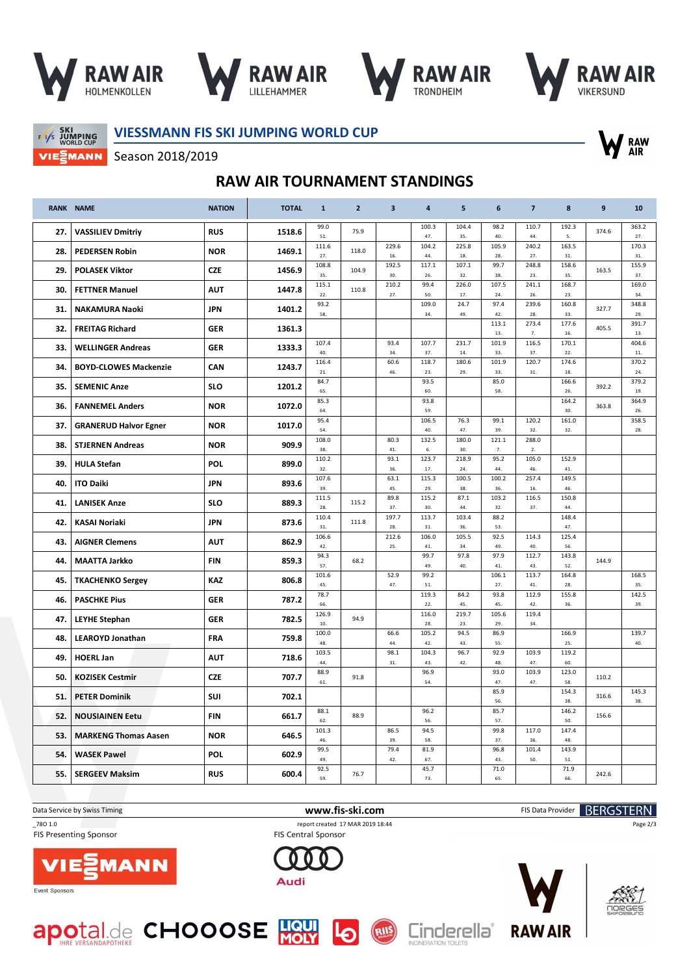







 $F/1/s$  JUMPING VIEZMANN **VIESSMANN FIS SKI JUMPING WORLD CUP**



Season 2018/2019

## **RAW AIR TOURNAMENT STANDINGS**

|     | <b>RANK NAME</b>             | <b>NATION</b> | <b>TOTAL</b> | $\mathbf{1}$             | $\overline{2}$ | $\overline{\mathbf{3}}$ | 4            | 5            | 6            | $\overline{7}$ | 8            | 9     | 10           |
|-----|------------------------------|---------------|--------------|--------------------------|----------------|-------------------------|--------------|--------------|--------------|----------------|--------------|-------|--------------|
| 27. | <b>VASSILIEV Dmitriy</b>     | <b>RUS</b>    | 1518.6       | 99.0<br>51.              | 75.9           |                         | 100.3<br>47. | 104.4<br>35. | 98.2<br>40.  | 110.7<br>44.   | 192.3<br>5.  | 374.6 | 363.2<br>27. |
| 28. | <b>PEDERSEN Robin</b>        | <b>NOR</b>    | 1469.1       | 111.6<br>27.             | 118.0          | 229.6<br>16.            | 104.2<br>44. | 225.8<br>18. | 105.9<br>28. | 240.2<br>27.   | 163.5<br>31. |       | 170.3<br>31. |
| 29. | <b>POLASEK Viktor</b>        | <b>CZE</b>    | 1456.9       | 108.8                    | 104.9          | 192.5                   | 117.1        | 107.1        | 99.7         | 248.8          | 158.6        | 163.5 | 155.9        |
|     |                              |               |              | 35.<br>115.1             |                | 30.<br>210.2            | 26.<br>99.4  | 32.<br>226.0 | 38.<br>107.5 | 23.<br>241.1   | 35.<br>168.7 |       | 37.<br>169.0 |
| 30. | <b>FETTNER Manuel</b>        | <b>AUT</b>    | 1447.8       | 22.                      | 110.8          | 27.                     | 50.          | 17           | 24           | 26.            | 23.          |       | 34.          |
| 31. | <b>NAKAMURA Naoki</b>        | <b>JPN</b>    | 1401.2       | 93.2<br>58.              |                |                         | 109.0<br>34. | 24.7<br>49.  | 97.4<br>42.  | 239.6<br>28.   | 160.8<br>33. | 327.7 | 348.8<br>29. |
| 32. | <b>FREITAG Richard</b>       | <b>GER</b>    | 1361.3       |                          |                |                         |              |              | 113.1<br>13. | 273.4<br>7.    | 177.6<br>16. | 405.5 | 391.7<br>13. |
| 33. | <b>WELLINGER Andreas</b>     | <b>GER</b>    | 1333.3       | 107.4<br>40.             |                | 93.4<br>34.             | 107.7<br>37. | 231.7<br>14. | 101.9<br>33. | 116.5<br>37.   | 170.1<br>22. |       | 404.6<br>11. |
| 34. | <b>BOYD-CLOWES Mackenzie</b> | CAN           | 1243.7       | 116.4                    |                | 60.6                    | 118.7        | 180.6        | 101.9        | 120.7          | 174.6        |       | 370.2        |
|     |                              |               |              | 21.<br>84.7              |                | 46.                     | 23.<br>93.5  | 29.          | 33<br>85.0   | 31.            | 18.<br>166.6 |       | 24<br>379.2  |
| 35. | <b>SEMENIC Anze</b>          | <b>SLO</b>    | 1201.2       | 65.                      |                |                         | 60.          |              | 58.          |                | 26.          | 392.2 | 19.          |
| 36. | <b>FANNEMEL Anders</b>       | <b>NOR</b>    | 1072.0       | 85.3<br>64.              |                |                         | 93.8<br>59.  |              |              |                | 164.2<br>30. | 363.8 | 364.9<br>26. |
| 37. | <b>GRANERUD Halvor Egner</b> | <b>NOR</b>    | 1017.0       | 95.4                     |                |                         | 106.5        | 76.3         | 99.1         | 120.2          | 161.0        |       | 358.5        |
|     |                              |               |              | 54.<br>108.0             |                | 80.3                    | 40.<br>132.5 | 47.<br>180.0 | 39.<br>121.1 | 32.<br>288.0   | 32.          |       | 28.          |
| 38. | <b>STJERNEN Andreas</b>      | <b>NOR</b>    | 909.9        | 38.                      |                | 41.                     | $6. \,$      | 30.          | 7.           | 2.             |              |       |              |
| 39. | <b>HULA Stefan</b>           | <b>POL</b>    | 899.0        | 110.2<br>32.             |                | 93.1<br>36.             | 123.7<br>17. | 218.9<br>24. | 95.2<br>44   | 105.0<br>46.   | 152.9<br>41. |       |              |
| 40. | <b>ITO Daiki</b>             | <b>JPN</b>    | 893.6        | 107.6                    |                | 63.1                    | 115.3        | 100.5        | 100.2        | 257.4          | 149.5        |       |              |
|     |                              |               |              | 39.<br>111.5             |                | 45.<br>89.8             | 29.<br>115.2 | 38<br>87.1   | 36.<br>103.2 | 16.<br>116.5   | 46.<br>150.8 |       |              |
| 41. | <b>LANISEK Anze</b>          | <b>SLO</b>    | 889.3        | 28.                      | 115.2          | 37.                     | 30.          | 44.          | 32           | 37.            | 44.          |       |              |
| 42. | <b>KASAI Noriaki</b>         | <b>JPN</b>    | 873.6        | 110.4<br>31.             | 111.8          | 197.7<br>28.            | 113.7<br>31. | 103.4<br>36. | 88.2<br>53.  |                | 148.4<br>47. |       |              |
| 43. | <b>AIGNER Clemens</b>        | <b>AUT</b>    | 862.9        | 106.6                    |                | 212.6                   | 106.0        | 105.5        | 92.5         | 114.3          | 125.4        |       |              |
|     |                              | <b>FIN</b>    | 859.3        | 42.<br>94.3              | 68.2           | 25.                     | 41.<br>99.7  | 34<br>97.8   | 49.<br>97.9  | 40.<br>112.7   | 56.<br>143.8 | 144.9 |              |
| 44. | <b>MAATTA Jarkko</b>         |               |              | 57.<br>101.6             |                | 52.9                    | 49.<br>99.2  | 40.          | 41.<br>106.1 | 43.<br>113.7   | 52.<br>164.8 |       | 168.5        |
| 45. | <b>TKACHENKO Sergey</b>      | <b>KAZ</b>    | 806.8        | 45.                      |                | 47.                     | 51.          |              | 27.          | 41.            | 28.          |       | 35.          |
| 46. | <b>PASCHKE Pius</b>          | <b>GER</b>    | 787.2        | 78.7<br>66.              |                |                         | 119.3<br>22. | 84.2<br>45.  | 93.8<br>45.  | 112.9<br>42.   | 155.8<br>36. |       | 142.5<br>39. |
|     |                              | <b>GER</b>    | 782.5        | 126.9                    | 94.9           |                         | 116.0        | 219.7        | 105.6        | 119.4          |              |       |              |
| 47. | <b>LEYHE Stephan</b>         |               |              | 10 <sub>1</sub><br>100.0 |                | 66.6                    | 28.<br>105.2 | 23.<br>94.5  | 29.<br>86.9  | 34.            | 166.9        |       | 139.7        |
| 48. | <b>LEAROYD Jonathan</b>      | <b>FRA</b>    | 759.8        | 48.                      |                | 44.                     | 42.          | 43.          | 55.          |                | 25.          |       | 40.          |
| 49. | <b>HOERL Jan</b>             | <b>AUT</b>    | 718.6        | 103.5<br>44.             |                | 98.1<br>31.             | 104.3<br>43. | 96.7<br>42.  | 92.9<br>48.  | 103.9<br>47.   | 119.2<br>60. |       |              |
| 50. | <b>KOZISEK Cestmir</b>       | <b>CZE</b>    | 707.7        | 88.9                     | 91.8           |                         | 96.9         |              | 93.0         | 103.9          | 123.0        | 110.2 |              |
|     |                              |               |              | 61.                      |                |                         | 54.          |              | 47.<br>85.9  | 47.            | 58.<br>154.3 |       | 145.3        |
| 51. | <b>PETER Dominik</b>         | SUI           | 702.1        |                          |                |                         |              |              | 56.          |                | 38.          | 316.6 | 38.          |
| 52. | <b>NOUSIAINEN Eetu</b>       | <b>FIN</b>    | 661.7        | 88.1<br>62               | 88.9           |                         | 96.2<br>56.  |              | 85.7<br>57.  |                | 146.2<br>50. | 156.6 |              |
| 53. | <b>MARKENG Thomas Aasen</b>  | <b>NOR</b>    | 646.5        | 101.3                    |                | 86.5                    | 94.5         |              | 99.8         | 117.0          | 147.4        |       |              |
|     |                              |               |              | 46.<br>99.5              |                | 39.<br>79.4             | 58.<br>81.9  |              | 37<br>96.8   | 36.<br>101.4   | 48.<br>143.9 |       |              |
| 54. | <b>WASEK Pawel</b>           | POL           | 602.9        | 49.                      |                | 42.                     | 67.          |              | 43.          | 50.            | 51.          |       |              |
| 55. | <b>SERGEEV Maksim</b>        | <b>RUS</b>    | 600.4        | 92.5<br>59.              | 76.7           |                         | 45.7<br>73.  |              | 71.0<br>65.  |                | 71.9<br>66.  | 242.6 |              |

**FIS Presenting Sponsor** 

RIIS

\_78O 1.0 report created 17 MAR 2019 18:44 FIS Central Sponsor

Audi



Event Sponsors







**RAW AIR** 

Page 2/3